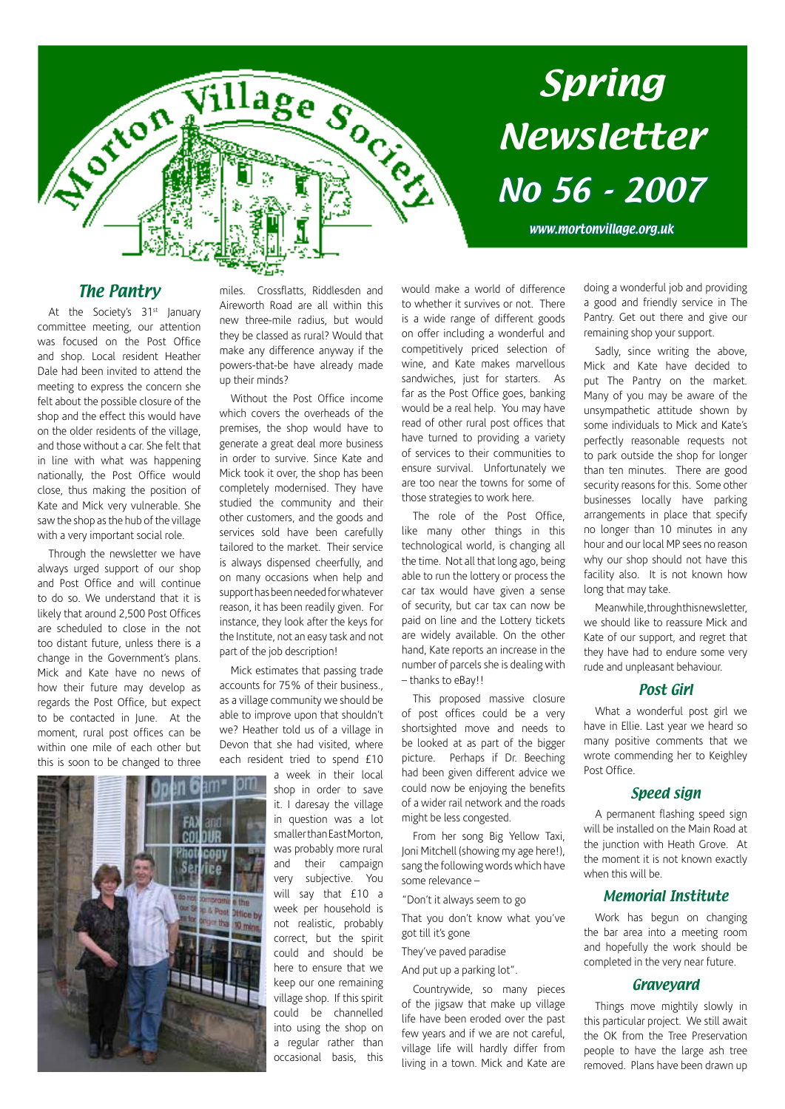

www.mortonvillage.org.uk

#### The Pantry

**Silicia** 

At the Society's 31<sup>st</sup> January committee meeting, our attention was focused on the Post Office and shop. Local resident Heather Dale had been invited to attend the meeting to express the concern she felt about the possible closure of the shop and the effect this would have on the older residents of the village, and those without a car. She felt that in line with what was happening nationally, the Post Office would close, thus making the position of Kate and Mick very vulnerable. She saw the shop as the hub of the village with a very important social role.

Through the newsletter we have always urged support of our shop and Post Office and will continue to do so. We understand that it is likely that around 2,500 Post Offices are scheduled to close in the not too distant future, unless there is a change in the Government's plans. Mick and Kate have no news of how their future may develop as regards the Post Office, but expect to be contacted in June. At the moment, rural post offices can be within one mile of each other but this is soon to be changed to three



miles. Crossflatts, Riddlesden and Aireworth Road are all within this new three-mile radius, but would they be classed as rural? Would that make any difference anyway if the powers-that-be have already made up their minds?

Village Social

Without the Post Office income which covers the overheads of the premises, the shop would have to generate a great deal more business in order to survive. Since Kate and Mick took it over, the shop has been completely modernised. They have studied the community and their other customers, and the goods and services sold have been carefully tailored to the market. Their service is always dispensed cheerfully, and on many occasions when help and support has been needed for whatever reason, it has been readily given. For instance, they look after the keys for the Institute, not an easy task and not part of the job description!

Mick estimates that passing trade accounts for 75% of their business., as a village community we should be able to improve upon that shouldn't we? Heather told us of a village in Devon that she had visited, where each resident tried to spend £10 a week in their local

shop in order to save it. I daresay the village in question was a lot smaller than East Morton, was probably more rural and their campaign very subjective. You will say that £10 a week per household is not realistic, probably correct, but the spirit could and should be here to ensure that we keep our one remaining village shop. If this spirit could be channelled into using the shop on a regular rather than occasional basis, this

would make a world of difference to whether it survives or not. There is a wide range of different goods on offer including a wonderful and competitively priced selection of wine, and Kate makes marvellous sandwiches, just for starters. As far as the Post Office goes, banking would be a real help. You may have read of other rural post offices that have turned to providing a variety of services to their communities to ensure survival. Unfortunately we are too near the towns for some of those strategies to work here.

The role of the Post Office, like many other things in this technological world, is changing all the time. Not all that long ago, being able to run the lottery or process the car tax would have given a sense of security, but car tax can now be paid on line and the Lottery tickets are widely available. On the other hand, Kate reports an increase in the number of parcels she is dealing with – thanks to eBay!!

This proposed massive closure of post offices could be a very shortsighted move and needs to be looked at as part of the bigger picture. Perhaps if Dr. Beeching had been given different advice we could now be enjoying the benefits of a wider rail network and the roads might be less congested.

From her song Big Yellow Taxi, Joni Mitchell (showing my age here!), sang the following words which have some relevance –

"Don't it always seem to go

That you don't know what you've got till it's gone

They've paved paradise

And put up a parking lot".

Countrywide, so many pieces of the jigsaw that make up village life have been eroded over the past few years and if we are not careful, village life will hardly differ from living in a town. Mick and Kate are

doing a wonderful job and providing a good and friendly service in The Pantry. Get out there and give our remaining shop your support.

Sadly, since writing the above, Mick and Kate have decided to put The Pantry on the market. Many of you may be aware of the unsympathetic attitude shown by some individuals to Mick and Kate's perfectly reasonable requests not to park outside the shop for longer than ten minutes. There are good security reasons for this. Some other businesses locally have parking arrangements in place that specify no longer than 10 minutes in any hour and our local MP sees no reason why our shop should not have this facility also. It is not known how long that may take.

Meanwhile, through this newsletter, we should like to reassure Mick and Kate of our support, and regret that they have had to endure some very rude and unpleasant behaviour.

#### Post Girl

What a wonderful post girl we have in Ellie. Last year we heard so many positive comments that we wrote commending her to Keighley Post Office.

#### Speed sign

A permanent flashing speed sign will be installed on the Main Road at the junction with Heath Grove. At the moment it is not known exactly when this will be.

#### Memorial Institute

Work has begun on changing the bar area into a meeting room and hopefully the work should be completed in the very near future.

#### Graveyard

Things move mightily slowly in this particular project. We still await the OK from the Tree Preservation people to have the large ash tree removed. Plans have been drawn up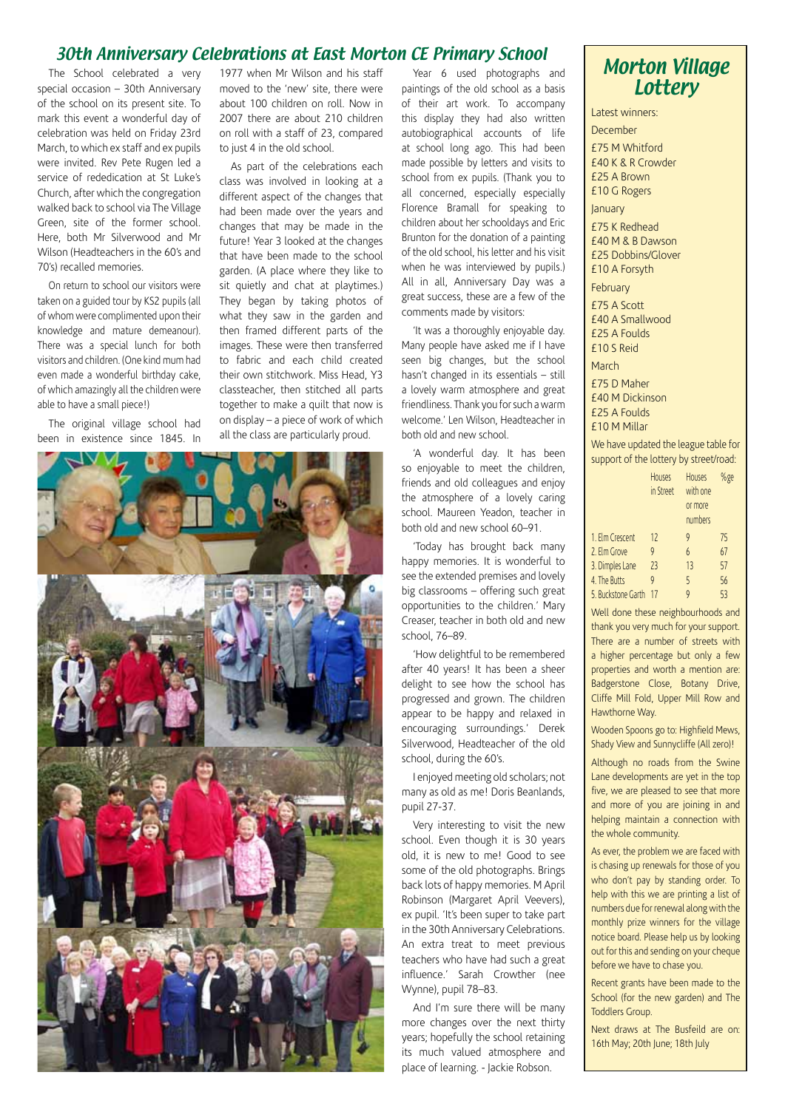#### 30th Anniversary Celebrations at East Morton CE Primary School

The School celebrated a very special occasion – 30th Anniversary of the school on its present site. To mark this event a wonderful day of celebration was held on Friday 23rd March, to which ex staff and ex pupils were invited. Rev Pete Rugen led a service of rededication at St Luke's Church, after which the congregation walked back to school via The Village Green, site of the former school. Here, both Mr Silverwood and Mr Wilson (Headteachers in the 60's and 70's) recalled memories.

On return to school our visitors were taken on a guided tour by KS2 pupils (all of whom were complimented upon their knowledge and mature demeanour). There was a special lunch for both visitors and children. (One kind mum had even made a wonderful birthday cake, of which amazingly all the children were able to have a small piece!)

The original village school had been in existence since 1845. In 1977 when Mr Wilson and his staff moved to the 'new' site, there were about 100 children on roll. Now in 2007 there are about 210 children on roll with a staff of 23, compared to just 4 in the old school.

As part of the celebrations each class was involved in looking at a different aspect of the changes that had been made over the years and changes that may be made in the future! Year 3 looked at the changes that have been made to the school garden. (A place where they like to sit quietly and chat at playtimes.) They began by taking photos of what they saw in the garden and then framed different parts of the images. These were then transferred to fabric and each child created their own stitchwork. Miss Head, Y3 classteacher, then stitched all parts together to make a quilt that now is on display – a piece of work of which all the class are particularly proud.



Year 6 used photographs and paintings of the old school as a basis of their art work. To accompany this display they had also written autobiographical accounts of life at school long ago. This had been made possible by letters and visits to school from ex pupils. (Thank you to all concerned, especially especially Florence Bramall for speaking to children about her schooldays and Eric Brunton for the donation of a painting of the old school, his letter and his visit when he was interviewed by pupils.) All in all, Anniversary Day was a great success, these are a few of the comments made by visitors:

'It was a thoroughly enjoyable day. Many people have asked me if I have seen big changes, but the school hasn't changed in its essentials – still a lovely warm atmosphere and great friendliness. Thank you for such a warm welcome.' Len Wilson, Headteacher in both old and new school.

'A wonderful day. It has been so enjoyable to meet the children, friends and old colleagues and enjoy the atmosphere of a lovely caring school. Maureen Yeadon, teacher in both old and new school 60–91.

'Today has brought back many happy memories. It is wonderful to see the extended premises and lovely big classrooms – offering such great opportunities to the children.' Mary Creaser, teacher in both old and new school, 76–89.

'How delightful to be remembered after 40 years! It has been a sheer delight to see how the school has progressed and grown. The children appear to be happy and relaxed in encouraging surroundings.' Derek Silverwood, Headteacher of the old school, during the 60's.

I enjoyed meeting old scholars; not many as old as me! Doris Beanlands, pupil 27-37.

Very interesting to visit the new school. Even though it is 30 years old, it is new to me! Good to see some of the old photographs. Brings back lots of happy memories. M April Robinson (Margaret April Veevers), ex pupil. 'It's been super to take part in the 30th Anniversary Celebrations. An extra treat to meet previous teachers who have had such a great influence.' Sarah Crowther (nee Wynne), pupil 78–83.

And I'm sure there will be many more changes over the next thirty years; hopefully the school retaining its much valued atmosphere and place of learning. - Jackie Robson.

### Morton Village **Lottery**

Latest winners: December £75 M Whitford £40 K & R Crowder £25 A Brown £10 G Rogers January £75 K Redhead £40 M & B Dawson £25 Dobbins/Glover £10 A Forsyth February £75 A Scott £40 A Smallwood £25 A Foulds £10 S Reid March £75 D Maher £40 M Dickinson £25 A Foulds £10 M Millar

We have updated the league table for support of the lottery by street/road:

|                    | <b>Houses</b><br>in Street | <b>Houses</b><br>with one<br>or more<br>numbers | %ge |
|--------------------|----------------------------|-------------------------------------------------|-----|
| 1. Elm Crescent    | 12                         | 9                                               | 75  |
| 2. Elm Grove       | 9                          | 6                                               | 67  |
| 3. Dimples Lane    | 23                         | 13                                              | 57  |
| 4. The Butts       | 9                          | 5                                               | 56  |
| 5. Buckstone Garth |                            | Q                                               | 53  |

Well done these neighbourhoods and thank you very much for your support. There are a number of streets with a higher percentage but only a few properties and worth a mention are: Badgerstone Close, Botany Drive, Cliffe Mill Fold, Upper Mill Row and Hawthorne Way.

Wooden Spoons go to: Highfield Mews, Shady View and Sunnycliffe (All zero)!

Although no roads from the Swine Lane developments are yet in the top five, we are pleased to see that more and more of you are joining in and helping maintain a connection with the whole community.

As ever, the problem we are faced with is chasing up renewals for those of you who don't pay by standing order. To help with this we are printing a list of numbers due for renewal along with the monthly prize winners for the village notice board. Please help us by looking out for this and sending on your cheque before we have to chase you.

Recent grants have been made to the School (for the new garden) and The Toddlers Group.

Next draws at The Busfeild are on: 16th May; 20th June; 18th July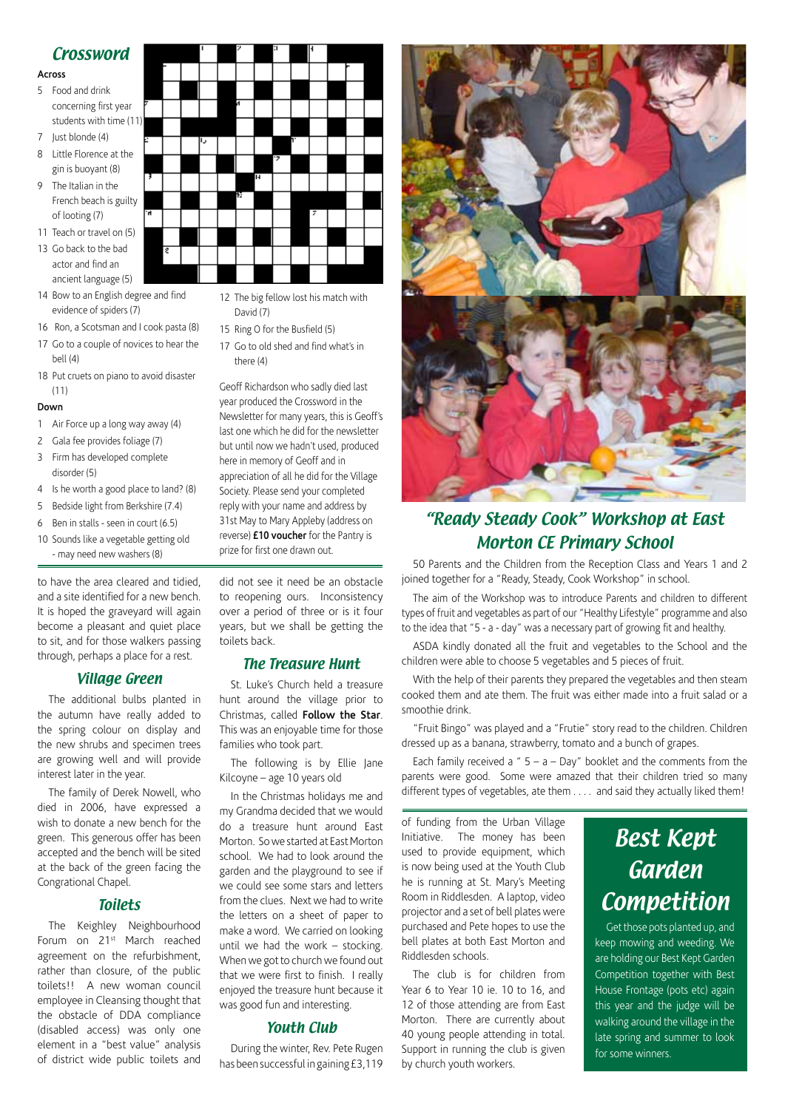#### **Crossword**

#### **Across**

- 5 Food and drink concerning first year students with time (11)
- 7 Just blonde (4)
- 8 Little Florence at the gin is buoyant (8)
- 9 The Italian in the French beach is guilty of looting (7)
- 11 Teach or travel on (5)
- 13 Go back to the bad actor and find an
- ancient language (5) 14 Bow to an English degree and find evidence of spiders (7)
- 16 Ron, a Scotsman and I cook pasta (8)
- 17 Go to a couple of novices to hear the bell (4)
- 18 Put cruets on piano to avoid disaster  $(11)$

#### **Down**

- 1 Air Force up a long way away (4)
- 2 Gala fee provides foliage (7)
- 3 Firm has developed complete disorder (5)
- 4 Is he worth a good place to land? (8)
- 5 Bedside light from Berkshire (7.4)
- 6 Ben in stalls seen in court (6.5)
- 10 Sounds like a vegetable getting old - may need new washers (8)

to have the area cleared and tidied, and a site identified for a new bench. It is hoped the graveyard will again become a pleasant and quiet place to sit, and for those walkers passing through, perhaps a place for a rest.

#### Village Green

The additional bulbs planted in the autumn have really added to the spring colour on display and the new shrubs and specimen trees are growing well and will provide interest later in the year.

The family of Derek Nowell, who died in 2006, have expressed a wish to donate a new bench for the green. This generous offer has been accepted and the bench will be sited at the back of the green facing the Congrational Chapel.

#### Toilets

The Keighley Neighbourhood Forum on 21st March reached agreement on the refurbishment, rather than closure, of the public toilets!! A new woman council employee in Cleansing thought that the obstacle of DDA compliance (disabled access) was only one element in a "best value" analysis of district wide public toilets and did not see it need be an obstacle to reopening ours. Inconsistency over a period of three or is it four years, but we shall be getting the toilets back.

#### The Treasure Hunt

St. Luke's Church held a treasure hunt around the village prior to Christmas, called **Follow the Star**. This was an enjoyable time for those families who took part.

The following is by Ellie Jane Kilcoyne – age 10 years old

In the Christmas holidays me and my Grandma decided that we would do a treasure hunt around East Morton. So we started at East Morton school. We had to look around the garden and the playground to see if we could see some stars and letters from the clues. Next we had to write the letters on a sheet of paper to make a word. We carried on looking until we had the work – stocking. When we got to church we found out that we were first to finish. I really enjoyed the treasure hunt because it was good fun and interesting.

#### Youth Club

During the winter, Rev. Pete Rugen has been successful in gaining £3,119



## "Ready Steady Cook" Workshop at East Morton CE Primary School

50 Parents and the Children from the Reception Class and Years 1 and 2 joined together for a "Ready, Steady, Cook Workshop" in school.

The aim of the Workshop was to introduce Parents and children to different types of fruit and vegetables as part of our "Healthy Lifestyle" programme and also to the idea that "5 - a - day" was a necessary part of growing fit and healthy.

ASDA kindly donated all the fruit and vegetables to the School and the children were able to choose 5 vegetables and 5 pieces of fruit.

With the help of their parents they prepared the vegetables and then steam cooked them and ate them. The fruit was either made into a fruit salad or a smoothie drink.

"Fruit Bingo" was played and a "Frutie" story read to the children. Children dressed up as a banana, strawberry, tomato and a bunch of grapes.

Each family received a "  $5 - a - Day$ " booklet and the comments from the parents were good. Some were amazed that their children tried so many different types of vegetables, ate them . . . . and said they actually liked them!

of funding from the Urban Village Initiative. The money has been used to provide equipment, which is now being used at the Youth Club he is running at St. Mary's Meeting Room in Riddlesden. A laptop, video projector and a set of bell plates were purchased and Pete hopes to use the bell plates at both East Morton and Riddlesden schools.

The club is for children from Year 6 to Year 10 ie. 10 to 16, and 12 of those attending are from East Morton. There are currently about 40 young people attending in total. Support in running the club is given by church youth workers.

## Best Kept Garden Competition

Get those pots planted up, and keep mowing and weeding. We are holding our Best Kept Garden Competition together with Best House Frontage (pots etc) again this year and the judge will be walking around the village in the late spring and summer to look for some winners.



- 12 The big fellow lost his match with David (7)
- 15 Ring O for the Busfield (5)
- 17 Go to old shed and find what's in there  $(4)$

Geoff Richardson who sadly died last year produced the Crossword in the Newsletter for many years, this is Geoff's last one which he did for the newsletter but until now we hadn't used, produced here in memory of Geoff and in appreciation of all he did for the Village Society. Please send your completed reply with your name and address by 31st May to Mary Appleby (address on reverse) **£10 voucher** for the Pantry is prize for first one drawn out.